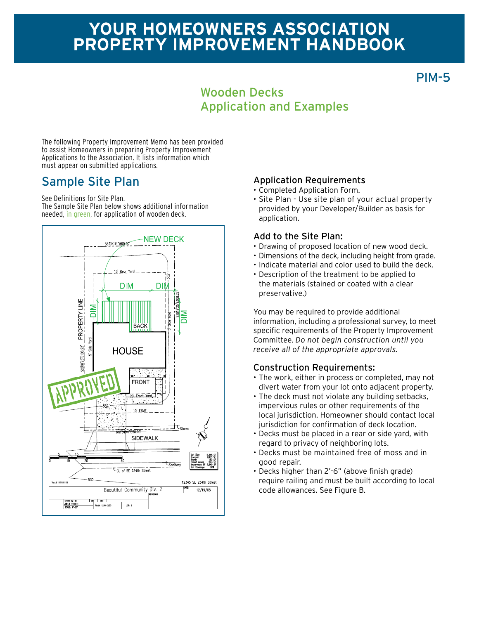# **Your homeowners association Property improvement Handbook**

PIM-5

## Wooden Decks Application and Examples

The following Property Improvement Memo has been provided to assist Homeowners in preparing Property Improvement Applications to the Association. It lists information which must appear on submitted applications.

See Definitions for Site Plan.

The Sample Site Plan below shows additional information needed, in green, for application of wooden deck.



## Sample Site Plan Application Requirements

- • Completed Application Form.
- • Site Plan Use site plan of your actual property provided by your Developer/Builder as basis for application.

#### Add to the Site Plan:

- • Drawing of proposed location of new wood deck.
- Dimensions of the deck, including height from grade.
- • Indicate material and color used to build the deck.
- • Description of the treatment to be applied to the materials (stained or coated with a clear preservative.)

You may be required to provide additional information, including a professional survey, to meet specific requirements of the Property Improvement Committee. *Do not begin construction until you receive all of the appropriate approvals.*

## Construction Requirements:

- The work, either in process or completed, may not divert water from your lot onto adjacent property.
- The deck must not violate any building setbacks, impervious rules or other requirements of the local jurisdiction. Homeowner should contact local jurisdiction for confirmation of deck location.
- • Decks must be placed in a rear or side yard, with regard to privacy of neighboring lots.
- • Decks must be maintained free of moss and in good repair.
- • Decks higher than 2'-6" (above finish grade) require railing and must be built according to local code allowances. See Figure B.